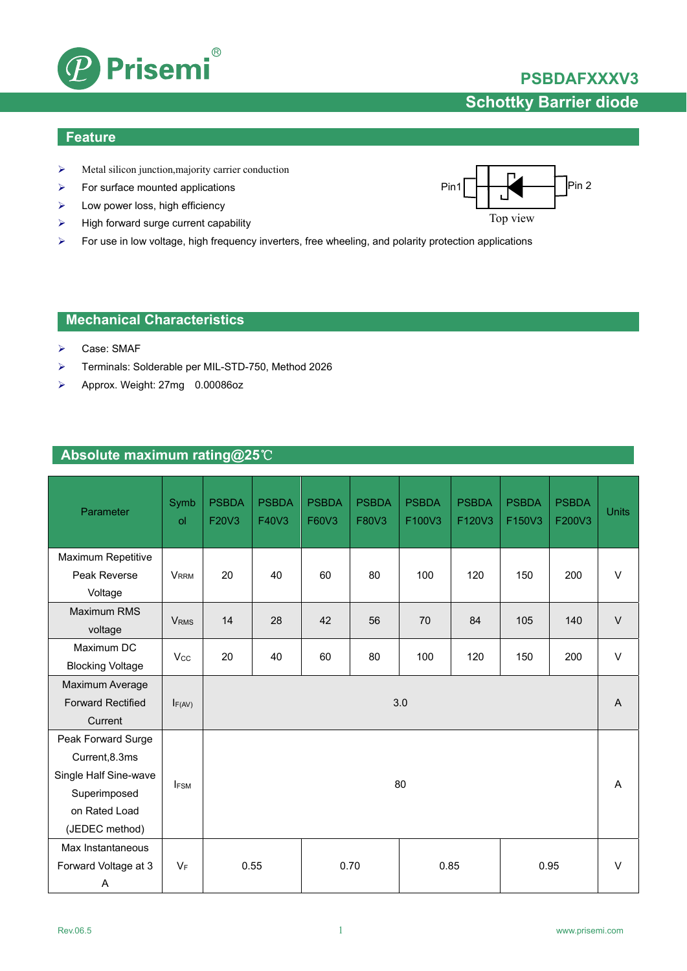

# **PSBDAFXXXV3 Schottky Barrier diode**

### **Feature**

- $\triangleright$  Metal silicon junction, majority carrier conduction
- $\triangleright$  For surface mounted applications
- $\blacktriangleright$  Low power loss, high efficiency
- $\triangleright$  High forward surge current capability
- For use in low voltage, high frequency inverters, free wheeling, and polarity protection applications

### **Mechanical Characteristics**

- Case: SMAF
- Terminals: Solderable per MIL-STD-750, Method 2026
- Approx. Weight: 27mg 0.00086oz

### **Absolute maximum rating@25**℃

| Parameter                                                                                                        | Symb<br>ol  | <b>PSBDA</b><br>F20V3        | <b>PSBDA</b><br>F40V3 | <b>PSBDA</b><br>F60V3 | <b>PSBDA</b><br>F80V3 | <b>PSBDA</b><br>F100V3 | <b>PSBDA</b><br>F120V3 | <b>PSBDA</b><br>F150V3 | <b>PSBDA</b><br>F200V3 | <b>Units</b> |
|------------------------------------------------------------------------------------------------------------------|-------------|------------------------------|-----------------------|-----------------------|-----------------------|------------------------|------------------------|------------------------|------------------------|--------------|
| Maximum Repetitive<br>Peak Reverse                                                                               | <b>VRRM</b> | 20                           | 40                    | 60                    | 80                    | 100                    | 120                    | 150                    | 200                    | V            |
| Voltage<br><b>Maximum RMS</b><br>voltage                                                                         | <b>VRMS</b> | 14                           | 28                    | 42                    | 56                    | 70                     | 84                     | 105                    | 140                    | $\vee$       |
| Maximum DC<br><b>Blocking Voltage</b>                                                                            | Vcc         | 20                           | 40                    | 60                    | 80                    | 100                    | 120                    | 150                    | 200                    | $\mathsf{V}$ |
| Maximum Average<br><b>Forward Rectified</b><br>Current                                                           | $I_{F(AV)}$ | 3.0                          |                       |                       |                       |                        |                        |                        | $\overline{A}$         |              |
| Peak Forward Surge<br>Current, 8.3ms<br>Single Half Sine-wave<br>Superimposed<br>on Rated Load<br>(JEDEC method) | <b>IFSM</b> | 80                           |                       |                       |                       |                        |                        | A                      |                        |              |
| Max Instantaneous<br>Forward Voltage at 3<br>A                                                                   | $V_F$       | 0.55<br>0.70<br>0.85<br>0.95 |                       |                       |                       |                        |                        |                        | $\vee$                 |              |

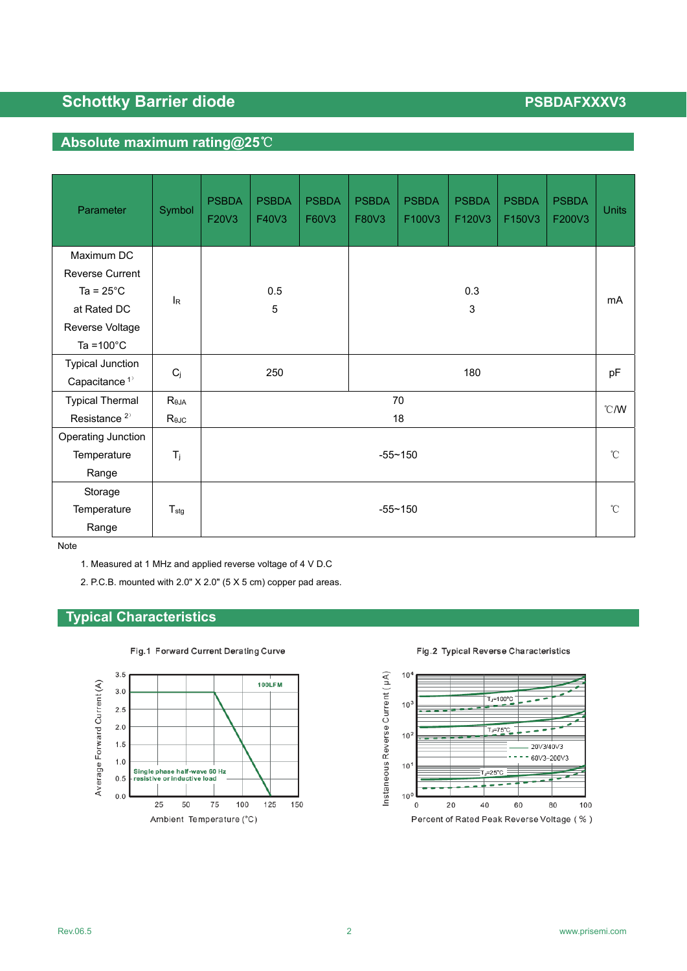# **Schottky Barrier diode PSBDAFXXXV3**

# **Absolute maximum rating@25**℃

| Parameter                 | Symbol           | <b>PSBDA</b><br>F20V3 | <b>PSBDA</b><br>F40V3 | <b>PSBDA</b><br>F60V3 | <b>PSBDA</b><br>F80V3 | <b>PSBDA</b><br>F100V3 | <b>PSBDA</b><br>F120V3 | <b>PSBDA</b><br>F150V3 | <b>PSBDA</b><br>F200V3 | <b>Units</b>  |
|---------------------------|------------------|-----------------------|-----------------------|-----------------------|-----------------------|------------------------|------------------------|------------------------|------------------------|---------------|
| Maximum DC                |                  |                       |                       |                       |                       |                        |                        |                        |                        |               |
| <b>Reverse Current</b>    |                  |                       |                       |                       |                       |                        |                        |                        |                        |               |
| Ta = $25^{\circ}$ C       | l <sub>R</sub>   | 0.5<br>$\mathbf 5$    |                       |                       | 0.3                   |                        |                        |                        |                        |               |
| at Rated DC               |                  |                       |                       |                       | 3                     |                        |                        |                        |                        | mA            |
| Reverse Voltage           |                  |                       |                       |                       |                       |                        |                        |                        |                        |               |
| Ta = $100^{\circ}$ C      |                  |                       |                       |                       |                       |                        |                        |                        |                        |               |
| <b>Typical Junction</b>   | $C_j$            | 250                   |                       |                       | 180                   |                        |                        |                        |                        | pF            |
| Capacitance <sup>1)</sup> |                  |                       |                       |                       |                       |                        |                        |                        |                        |               |
| <b>Typical Thermal</b>    | $R_{\theta JA}$  |                       |                       |                       | 70                    |                        |                        |                        |                        | $\degree$ C/W |
| Resistance <sup>2)</sup>  | Rejc             | 18                    |                       |                       |                       |                        |                        |                        |                        |               |
| Operating Junction        |                  |                       |                       |                       |                       |                        |                        |                        |                        |               |
| Temperature               | $T_j$            | $-55 - 150$           |                       |                       |                       |                        | $^{\circ}C$            |                        |                        |               |
| Range                     |                  |                       |                       |                       |                       |                        |                        |                        |                        |               |
| Storage                   |                  |                       |                       |                       |                       |                        |                        |                        |                        |               |
| Temperature               | $T_{\text{stg}}$ | $-55 - 150$           |                       |                       |                       |                        | $^{\circ}$ C           |                        |                        |               |
| Range                     |                  |                       |                       |                       |                       |                        |                        |                        |                        |               |

Note

- 1. Measured at 1 MHz and applied reverse voltage of 4 V D.C
- 2. P.C.B. mounted with 2.0" X 2.0" (5 X 5 cm) copper pad areas.

## **Typical Characteristics**



Fig.1 Forward Current Derating Curve

Instaneous Reverse Current (µA)  $10<sup>4</sup>$  $T_J = 100^{\circ}$ C  $10<sup>3</sup>$  $T_J = 75^{\circ}C$  $10<sup>2</sup>$ 20V3/40V3  $- - 60\sqrt{3} - 200\sqrt{3}$  $10<sup>1</sup>$ .<br>⊏.=25°C  $10<sup>6</sup>$  $20$ 40 60 80 100  $\mathbf 0$ 

Fig.2 Typical Reverse Characteristics

#### Percent of Rated Peak Reverse Voltage (%)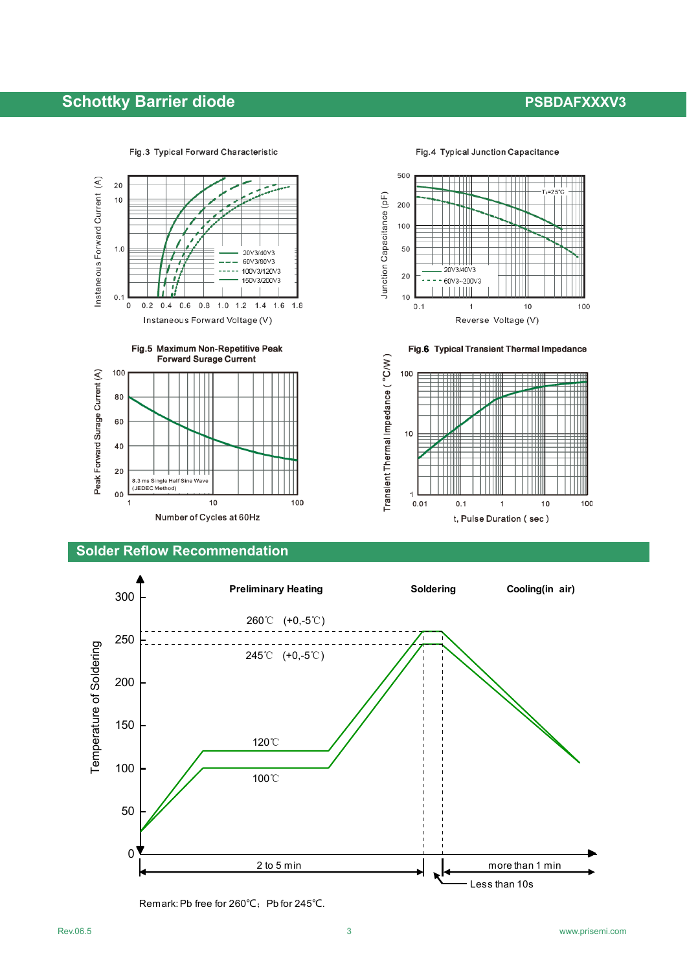# **Schottky Barrier diode PSBDAFXXXV3**

Instaneous Forward Current (A)

20

 $10$ 

 $1.0$ 

 $0.1$ 

 $\,0\,$ 

 $0.2$ 





Fig.6 Typical Transient Thermal Impedance

 $\overline{1}$ 

t, Pulse Duration (sec)

 $10$ 

100



Instaneous Forward Voltage (V)

 $0.4$  0.6 0.8

20V3/40V3

60V3/80V3

100V3/120V3

150V3/200V3

 $1.8$ 

 $1.0$  1.2 1.4 1.6



### **Solder Reflow Recommendation**



Transient Thermal Impedance ( °C/W)

100

 $10$ 

 $0.01$ 

 $0.1$ 

Remark: Pb free for 260°C; Pb for 245°C.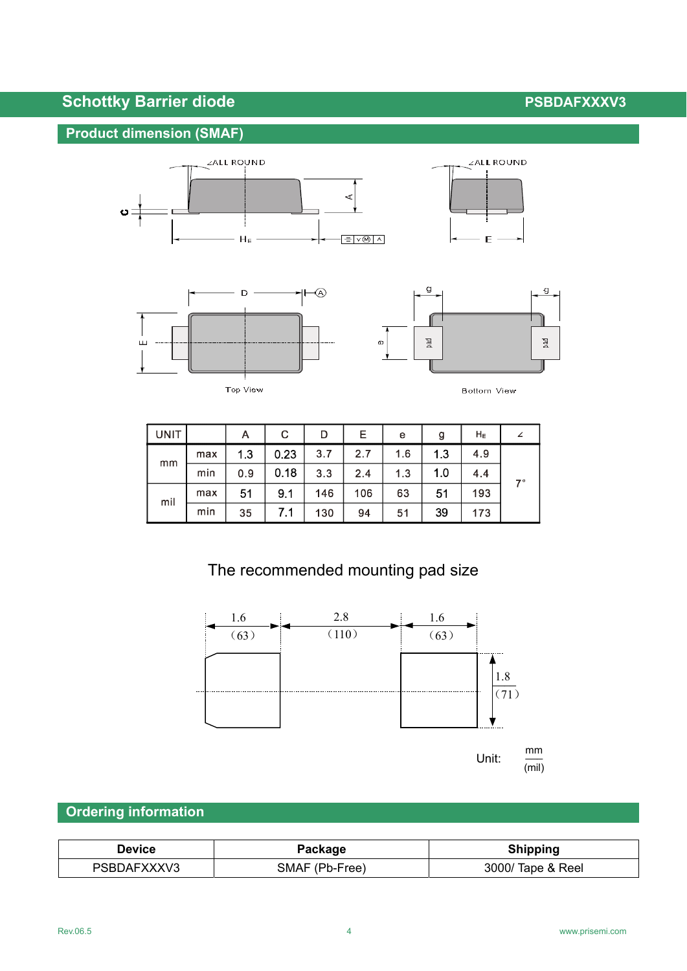# **Schottky Barrier diode PSBDAFXXXV3**

# **Product dimension (SMAF)**







Top View



| UNIT |     | A   | С    | D   | Е   | e   | g   | Hε  |    |  |
|------|-----|-----|------|-----|-----|-----|-----|-----|----|--|
| mm   | max | 1.3 | 0.23 | 3.7 | 2.7 | 1.6 | 13  | 4.9 |    |  |
|      | min | 0.9 | 0.18 | 3.3 | 2.4 | 1.3 | 1.0 | 4.4 | 7° |  |
| mil  | max | 51  | 9.1  | 146 | 106 | 63  | 51  | 193 |    |  |
|      | min | 35  |      | 130 | 94  | 51  | 39  | 173 |    |  |

# The recommended mounting pad size



# **Ordering information**

| Device      | Package        | <b>Shipping</b>   |  |  |  |
|-------------|----------------|-------------------|--|--|--|
| PSBDAFXXXV3 | SMAF (Pb-Free) | 3000/ Tape & Reel |  |  |  |